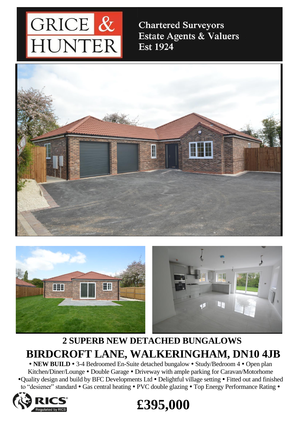

**Chartered Surveyors Estate Agents & Valuers Est 1924** 







## **2 SUPERB NEW DETACHED BUNGALOWS BIRDCROFT LANE, WALKERINGHAM, DN10 4JB**

• NEW BUILD • 3-4 Bedroomed En-Suite detached bungalow • Study/Bedroom 4 • Open plan Kitchen/Diner/Lounge • Double Garage • Driveway with ample parking for Caravan/Motorhome •Quality design and build by BFC Developments Ltd • Delightful village setting • Fitted out and finished to "designer" standard • Gas central heating • PVC double glazing • Top Energy Performance Rating •



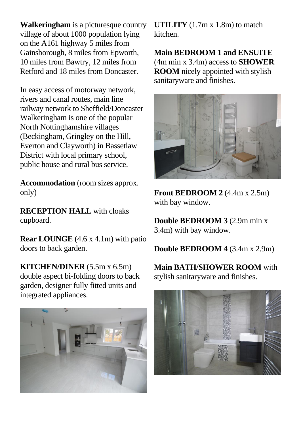**Walkeringham** is a picturesque country village of about 1000 population lying on the A161 highway 5 miles from Gainsborough, 8 miles from Epworth, 10 miles from Bawtry, 12 miles from Retford and 18 miles from Doncaster.

In easy access of motorway network, rivers and canal routes, main line railway network to Sheffield/Doncaster Walkeringham is one of the popular North Nottinghamshire villages (Beckingham, Gringley on the Hill, Everton and Clayworth) in Bassetlaw District with local primary school, public house and rural bus service.

**Accommodation** (room sizes approx. only)

**RECEPTION HALL** with cloaks cupboard.

**Rear LOUNGE** (4.6 x 4.1m) with patio doors to back garden.

**KITCHEN/DINER** (5.5m x 6.5m) double aspect bi-folding doors to back garden, designer fully fitted units and integrated appliances.



**UTILITY** (1.7m x 1.8m) to match kitchen.

**Main BEDROOM 1 and ENSUITE**  (4m min x 3.4m) access to **SHOWER ROOM** nicely appointed with stylish sanitaryware and finishes.



**Front BEDROOM 2** (4.4m x 2.5m) with bay window.

**Double BEDROOM 3** (2.9m min x 3.4m) with bay window.

**Double BEDROOM 4** (3.4m x 2.9m)

**Main BATH/SHOWER ROOM** with stylish sanitaryware and finishes.

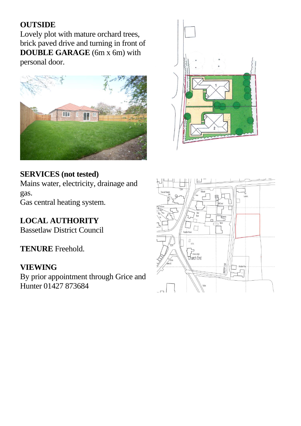## **OUTSIDE**

Lovely plot with mature orchard trees, brick paved drive and turning in front of **DOUBLE GARAGE** (6m x 6m) with personal door.





## **SERVICES (not tested)**

Mains water, electricity, drainage and gas. Gas central heating system.

**LOCAL AUTHORITY** Bassetlaw District Council

**TENURE** Freehold.

## **VIEWING**

By prior appointment through Grice and Hunter 01427 873684